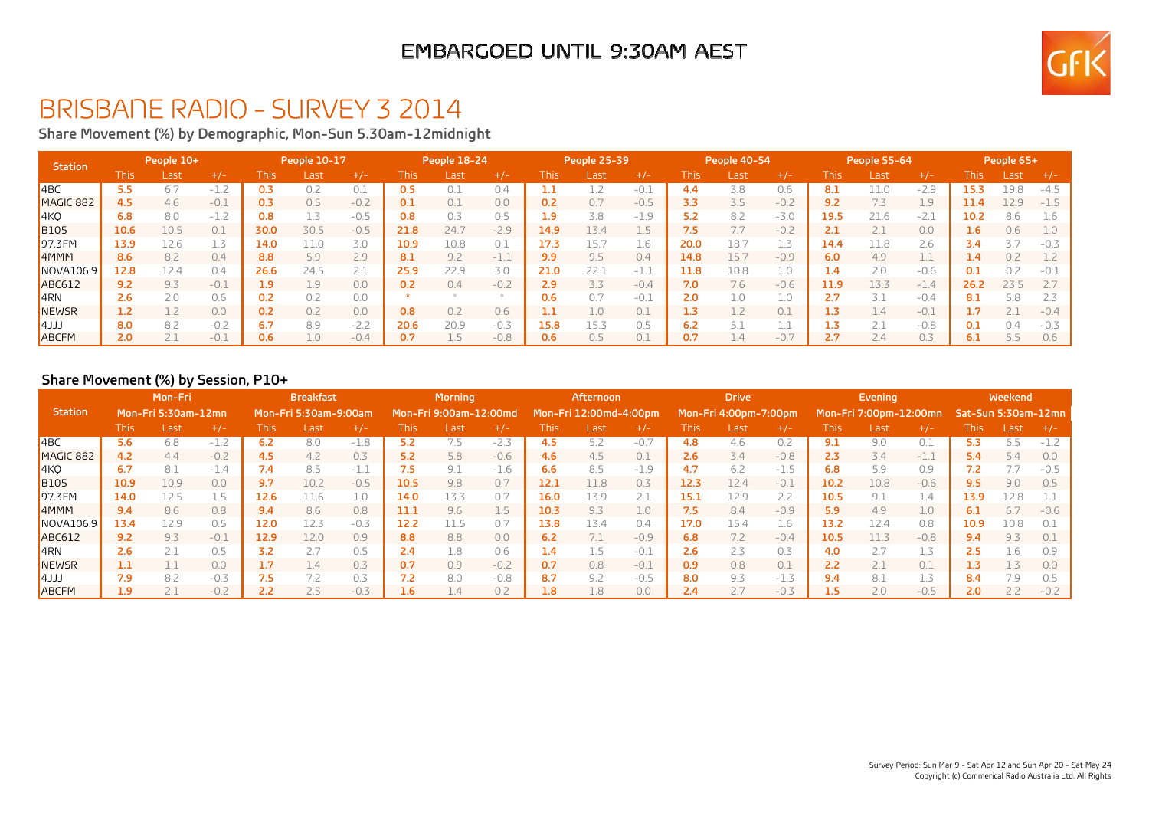### EMBARGOED UNTIL 9:30AM AEST



## BRISBANE RADIO - SURVEY 3 2014

**Share Movement (%) by Demographic, Mon-Sun 5.30am-12midnight**

| <b>Station</b>   | People 10+ |      |        | People 10-17 |      |        | People 18-24 |      |        |      | People 25-39 |        | People 40-54 |      |        | People 55-64  |               |        | People 65+       |                  |        |
|------------------|------------|------|--------|--------------|------|--------|--------------|------|--------|------|--------------|--------|--------------|------|--------|---------------|---------------|--------|------------------|------------------|--------|
|                  | This.      | Last | $+/-$  | This         | Last | $+/-$  | This         | Last | $+/-$  | This | /Last        | $+/-$  | This.        | Last | $+/-$  | This          | Last          | $+/-$  | This             | Last             | $+/-$  |
| $ $ 4BC          | 5.5        | 6.7  | $-1.2$ | 0.3          | 0.2  | 0.1    | 0.5          | 0.1  | 0.4    |      |              | $-0.1$ | 4.4          | 3.8  | 0.6    | 8.1           |               | $-2.9$ | 15.3             | 19.8             | $-4.5$ |
| MAGIC 882        | 4.5        | 4.6  | $-0.1$ | 0.3          | 0.5  | $-0.2$ | 0.1          | 0.1  | 0.0    | 0.2  | 0.7          | $-0.5$ | 3.3          | 3.5  | $-0.2$ | 9.2           |               | 1.9    | 11.4             | L <sub>2.9</sub> | $-1.5$ |
| 4KQ              | 6.8        | 8.0  | $-1.2$ | 0.8          | 1.3  | $-0.5$ | 0.8          | 0.3  | 0.5    | 1.9  | 3.8          | $-1.9$ | 5.2          | 8.2  | $-3.0$ | 19.5          | 21.6          | $-2.5$ | 10.2             | 8.6              | 1.6    |
| <b>B105</b>      | 10.6       | 10.5 | 0.1    | 30.0         | 30.5 | $-0.5$ | 21.8         | 24.7 | $-2.9$ | 14.9 | 13.4         | 1.5    | 7.5          |      | $-0.2$ | 2.1           |               | 0.0    | 1.6 <sub>1</sub> | 0.6              | 1.0    |
| 97.3FM           | 13.9       | 12.6 |        | 14.0         |      | 3.0    | 10.9         | 10.8 | 0.1    |      | 15.7         | 1.6    | 20.0         | 18.  | 1.3    | 14.4          | ⊥1.8          | 2.6    | 3.4              |                  | $-0.3$ |
| 4MMM             | 8.6        | 8.2  | 0.4    | 8.8          | 5.9  | 2.9    | 8.1          | 9.2  | $-1.1$ | 9.9  | 9.5          | 0.4    | 14.8         | 15.7 | $-0.9$ | 6.0           | 4.9           |        | 1.4              | 0.2              | 1.2    |
| <b>NOVA106.9</b> | 12.8       | 12.4 | 0.4    | 26.6         | 24.5 |        | 25.9         | 22.9 | 3.0    | 21.0 | 22.1         | $-1.1$ | 11.8         | 10.8 | 1.0    | $1.4^{\circ}$ | 2.0           | $-0.6$ | 0.1              | 0 <sub>2</sub>   | $-0.1$ |
| <b>ABC612</b>    | 9.2        | 9.3  | $-0.1$ | 1.9          | 1.9  | 0.0    | 0.2          | 0.4  | $-0.2$ | 2.9  | 3.3          | $-0.4$ | 7.0          | 7.6  | $-0.6$ | 11.9          | 13.3          | $-1.4$ | 26.2             | 23.5             |        |
| ∥4RN             | 2.6        | 2.0  | 0.6    | 0.2          | 0.2  | 0.0    |              |      |        | 0.6  | 0.7          | $-0.1$ | 2.0          | 1.0  | 1.0    | 2.7           |               | $-0.4$ | 8.1              | 58               | 2.3    |
| NEWSR            | 1.2        |      | 0.0    | 0.2          | 0.2  | 0.0    | 0.8          | 0.2  | 0.6    |      | 1.0          | 0.1    | 1.3          |      | 0.1    | 1.3           | 4.4           | $-0.1$ | 1.7              |                  | $-0.4$ |
| LLLA             | 8.0        | 8.2  | $-0.2$ | 6.7          | 8.9  | $-2.2$ | 20.6         | 20.9 | $-0.3$ | 15.8 | 15.3         | 0.5    | 6.2          | 5.1  |        | 1.3           |               | $-0.8$ | 0.1              | $\bigcap$ 4      | $-0.3$ |
| ABCFM            | 2.0        |      | $-0.1$ | 0.6          | 1.0  | $-0.4$ |              |      | $-0.8$ | 0.6  | 0.5          |        | 0.7          | 4.4  | $-0.7$ | 2.7           | $2.4^{\circ}$ | 0.3    | 6.1              |                  | 0.6    |

#### **Share Movement (%) by Session, P10+**

|                   | Mon-Fri             |      |        | <b>Breakfast</b> |                       |        | <b>Morning</b> |                        |        | Afternoon     |                        |        | <b>Drive</b> |                       |        |             | <b>Evening</b>         |        | Weekend             |      |        |
|-------------------|---------------------|------|--------|------------------|-----------------------|--------|----------------|------------------------|--------|---------------|------------------------|--------|--------------|-----------------------|--------|-------------|------------------------|--------|---------------------|------|--------|
| <b>Station</b>    | Mon-Fri 5:30am-12mn |      |        |                  | Mon-Fri 5:30am-9:00am |        |                | Mon-Fri 9:00am-12:00md |        |               | Mon-Fri 12:00md-4:00pm |        |              | Mon-Fri 4:00pm-7:00pm |        |             | Mon-Fri 7:00pm-12:00mn |        | Sat-Sun 5:30am-12mn |      |        |
|                   | This.               | Last | $+/-$  | <b>This</b>      | Last                  | $+/-$  | This           | Last                   | $+/-$  | This          | Last                   | $+/-$  | This         | Last                  | $+/-$  | <b>This</b> | Last                   | $+/-$  | This                | Last | $+/-$  |
| $ $ 4BC           | 5.6                 | 6.8  | $-1.2$ | 6.2              | 8.0                   | $-1.8$ | 5.2            | 7.5                    | $-2.3$ |               | 5.2                    | $-0.7$ | 4.8          | 4.6                   | 0.2    | 9.1         | 9.0                    | 0.1    | 5.3                 | 6.5  | $-1.2$ |
| MAGIC 882         | 4.2                 | 4.4  | $-0.2$ | 4.5              | 4.2                   | 0.3    | 5.2            | 5.8                    | $-0.6$ | $4.6^{\circ}$ | 4.5                    | 0.1    | 2.6          | 3.4                   | $-0.8$ | 2.3         | 3.4                    | $-1.1$ | 5.4                 | 5.4  | 0.0    |
| 4KQ               | 6.7                 | 8.1  | $-1.4$ | 7.4              | 8.5                   | $-1.1$ | 7.5            | 9.1                    | $-1.6$ | 6.6           | 8.5                    | $-1.9$ | 4.7          | 6.2                   | $-1.5$ | 6.8         | 5.9                    | 0.9    | 7.2                 |      | $-0.5$ |
| <b>B</b> 105      | 10.9                | 10.9 | 0.0    | 9.7              | 10.2                  | $-0.5$ | 10.5           | 9.8                    | 0.7    | 12.1          | 11.8                   | 0.3    | 12.3         | 12.4                  | $-0.1$ | 10.2        | 10.8                   | $-0.6$ | 9.5                 | 9.0  | 0.5    |
| 97.3FM            | 14.0                | 12.5 | 1.5    | 12.6             | 11.6                  | 1.0    | 14.0           | 13.3                   | 0.7    | 16.0          | 13.9                   |        | 15.1         | 12.9                  | 2.2    | 10.5        | 9.1                    | 1.4    | 13.9                | 2.8  |        |
| 4 <sub>MMM</sub>  | 9.4                 | 8.6  | 0.8    | 9.4              | 8.6                   | 0.8    | 11.1           | 9.6                    |        | 10.3          | 9.3                    | 1.0    | 7.5          | 8.4                   | $-0.9$ | 5.9         | 4.9                    | 1.0    | 6.1                 | 6.7  | $-0.6$ |
| NOVA106.9         | 13.4                | 12.9 | 0.5    | 12.0             | 12.3                  | $-0.3$ | 12.2           | 11.5                   | 0.7    | 13.8          | 13.4                   | 0.4    | 17.0         | 15.4                  | 1.6    | 13.2        | 12.4                   | 0.8    | 10.9                | 10.8 |        |
| <b>ABC612</b>     | 9.2                 | 9.3  | $-0.1$ | 12.9             | 12.0                  | 0.9    | 8.8            | 8.8                    | 0.0    | 6.2           | 7.1                    | $-0.9$ | 6.8          | 7.2                   | $-0.4$ | 10.5        | 11.3                   | $-0.8$ | 9.4                 | 9.3  |        |
| $\overline{A}$ RN | 2.6                 |      | 0.5    | 3.2              |                       | 0.5    | 2.4            | 1.8                    | 0.6    | 1.4           | 1.5                    | $-0.1$ | 2.6          | 2.3                   | 0.3    | 4.0         |                        | 1.3    | 2.5                 | Ib.  |        |
| NEWSR             | 1.1                 |      | 0.0    | 1.7              | 1.4                   | 0.3    | 0.7            | 0.9                    | $-0.2$ | 0.7           | 0.8                    | $-0.1$ | 0.9          | 0.8                   | 0.1    | 2.2         |                        | 0.1    | 1.3                 |      | 0.0    |
| $ 4$ JJJ          | 7.9                 | 8.2  | $-0.3$ | 7.5              |                       | 0.3    | 7.2            | 8.0                    | $-0.8$ | 8.7           | 9.2                    | $-0.5$ | 8.0          | 9.3                   | $-1.3$ | 9.4         | 8.1                    | 1.3    | 8.4                 |      |        |
| <b>ABCFM</b>      | 1.9                 | 2.1  | $-0.2$ | 2.2              | 2.5                   | $-0.3$ | 1.6            | 1.4                    | 0.2    | 1.8           | 1.8                    | 0.0    | 2.4          | 2.7                   | $-0.3$ | 1.5         | 2.0                    | $-0.5$ | 2.0                 |      | $-0.2$ |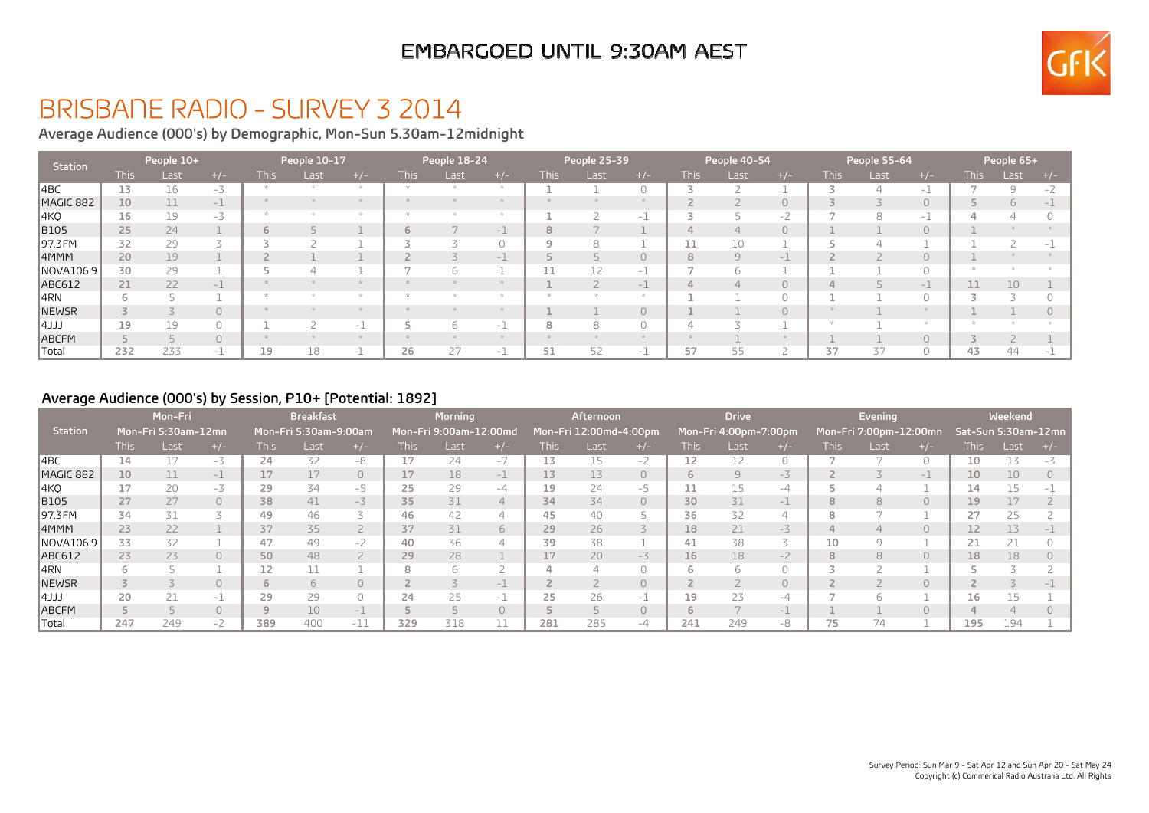### EMBARGOED UNTIL 9:30AM AEST



# BRISBANE RADIO - SURVEY 3 2014

**Average Audience (000's) by Demographic, Mon-Sun 5.30am-12midnight**

| <b>Station</b> |             | People 10+ |        |      | People 10-17 |                                 |             | People 18-24 |       |       | People 25-39 |                                 | People 40-54 |      |          | People 55-64 |      |                          | People 65+  |      |       |
|----------------|-------------|------------|--------|------|--------------|---------------------------------|-------------|--------------|-------|-------|--------------|---------------------------------|--------------|------|----------|--------------|------|--------------------------|-------------|------|-------|
|                | <b>This</b> | Last       | $+/-$  | This | Last         | $+/-$                           | <b>This</b> | Last         | $+/-$ | This. | Last         | $+/-$                           | This l       | Last | $+/-$    | This l       | Last | $+/-$                    | <b>This</b> | Last | $+/-$ |
| ∥4BC           | 13          | 16         | $-3$   |      |              |                                 |             |              |       |       |              |                                 |              |      |          |              |      | $\overline{\phantom{a}}$ |             |      |       |
| MAGIC 882      | 10          | 11         | $-1$   |      |              |                                 |             |              |       |       |              |                                 |              |      | $\Omega$ |              |      | $\bigcap$                |             |      |       |
| 4KQ            | 16          | 19         | $-3$   |      |              |                                 |             |              |       |       |              | $\hspace{0.1mm}-\hspace{0.1mm}$ |              |      | $-2$     |              |      | $-1$                     |             |      |       |
| <b>B</b> 105   | 25          | 24         |        | 6    |              |                                 |             |              | $-1$  |       |              |                                 |              |      | $\circ$  |              |      | $\bigcap$                |             |      |       |
| 97.3FM         | 32          | 29         |        |      |              |                                 |             |              |       |       | 8            |                                 |              | 10   |          |              |      |                          |             |      |       |
| 4MMM           | 20          | 19         |        |      |              |                                 |             |              | $-1$  |       |              |                                 | 8            |      | $-1$     |              |      | $\Omega$                 |             |      |       |
| NOVA106.9      | 30          | 29         |        |      |              |                                 |             |              |       |       |              | $\hspace{0.1mm}-\hspace{0.1mm}$ |              |      |          |              |      | $\cap$                   |             |      |       |
| ABC612         | 21          | 22         | $-1$   |      |              |                                 |             |              |       |       |              | $-1$                            |              |      |          |              |      | $-1$                     |             | 10   |       |
| $ 4$ RN        | 6           |            |        |      |              |                                 |             |              |       |       |              |                                 |              |      |          |              |      |                          |             |      |       |
| NEWSR          |             |            | $\cap$ |      |              |                                 |             |              |       |       |              |                                 |              |      | $\Omega$ |              |      |                          |             |      |       |
| $ 4$ JJJ       | 19          | 19         |        |      |              | $\hspace{0.1mm}-\hspace{0.1mm}$ |             |              | $-1$  |       | 8            |                                 |              |      |          |              |      |                          |             |      |       |
| ABCFM          |             |            |        |      |              |                                 |             |              |       |       |              |                                 |              |      |          |              |      | $\cap$                   |             |      |       |
| ∥Total         | 232         | 233        | $-1$   | 19   | 18           |                                 | 26          | 27           | $-1$  | 51    | 52           | $\hspace{0.1mm}-\hspace{0.1mm}$ | 57           | לכ   |          | 37           |      | $\Omega$                 | 43          | 44   |       |

#### **Average Audience (000's) by Session, P10+ [Potential: 1892]**

|                | Mon-Fri<br>Mon-Fri 5:30am-12mn |      |          | <b>Breakfast</b>                              |      |           |             | <b>Morning</b>         |          |                 | Afternoon              |           | <b>Drive</b> |                       |       |             | Evening                |           | Weekend             |      |  |
|----------------|--------------------------------|------|----------|-----------------------------------------------|------|-----------|-------------|------------------------|----------|-----------------|------------------------|-----------|--------------|-----------------------|-------|-------------|------------------------|-----------|---------------------|------|--|
| <b>Station</b> |                                |      |          | Mon-Fri 5:30am-9:00am                         |      |           |             | Mon-Fri 9:00am-12:00md |          |                 | Mon-Fri 12:00md-4:00pm |           |              | Mon-Fri 4:00pm-7:00pm |       |             | Mon-Fri 7:00pm-12:00mn |           | Sat-Sun 5:30am-12mn |      |  |
|                | <b>This</b>                    | Last | $+/-$    | <b>This</b>                                   | Last | $+/-$     | <b>This</b> | Last                   | $+/-$    | This l          | Last                   | $+/-$     | This l       | Last                  | $+/-$ | <b>This</b> | Last                   | $+/-$     | <b>This</b>         | Last |  |
| l4BC           | 14                             |      | $-3$     | 24                                            | 32   | $-8$      |             | 24                     | $-7$     | 13              | 15                     | $-2$      | 12           |                       |       |             |                        | $\Omega$  | 10                  |      |  |
| MAGIC 882      | 10                             |      | $-1$     | 17                                            | 17   | $\Omega$  | 17          | 18                     | $-1$     | 13              | 13                     | $\circ$   | 6            | $\Theta$              | $-3$  |             |                        | $-1$      | 10                  | 10   |  |
| 4KQ            | 17                             | 20   | $-3$     | 29                                            | 34   | -5        | 25          | 29                     | $-4$     | 19              | 24                     | -5        |              | 15                    | $-4$  |             |                        |           | 14                  |      |  |
| <b>B105</b>    | 27                             | 27   | $\Omega$ | 38                                            | 41   | $-3$      | 35          | 31                     | 4        | 34              | 34                     | $\circ$   | 30           | 31                    | $-1$  | 8           |                        | $\circ$   | 19                  |      |  |
| 97.3FM         | 34                             | 31   |          | 49                                            | 46   |           | 46          | 42                     | △        | 45              | 40                     |           | 36           | 32                    | 4     | 8           |                        |           | 27                  | 25   |  |
| 4MMM           | 23                             | 22   |          | 37                                            | 35   |           | 37          | 31                     | 6        | 29              | 26                     |           | 18           | 21                    | $-3$  | $\Delta$    |                        | $\circ$   |                     | 13   |  |
| NOVA106.9      | 33                             | 32   |          | 47                                            | 49   | $-2$      | 40          | 36                     |          | 39              | 38                     |           | 41           | 38                    |       | 10          |                        |           | 21                  |      |  |
| <b>ABC612</b>  | 23                             | 23   |          | 50                                            | 48   |           | 29          | 28                     |          | 17 <sub>2</sub> | 20                     | $-3$      | 16           | 18                    | $-2$  | 8           |                        | $\bigcap$ | 18                  | 18   |  |
| 14RN           | ь                              |      |          | 12                                            |      |           | 8           |                        |          |                 |                        |           |              |                       |       |             |                        |           |                     |      |  |
| NEWSR          |                                |      |          | 6                                             | h    | $\bigcap$ |             |                        | $\sim$ 1 |                 |                        | $\bigcap$ |              |                       | 0     |             |                        | $\Omega$  |                     |      |  |
| $ 4$ JJJ       | 20                             |      | $-1$     | 29                                            | 29   | $\bigcap$ | 24          | 25                     | $-1$     | 25              | 26                     | $-1$      | 19           | 23                    | $-4$  |             |                        |           | 16                  |      |  |
| <b>ABCFM</b>   |                                |      |          | $\begin{array}{c} \n\mathbf{C} \n\end{array}$ | 10   | $-1$      |             |                        | $\cap$   |                 |                        | $\bigcap$ |              |                       | $-1$  |             |                        | $\cap$    |                     |      |  |
| Total          | 247                            | 249  | $-2$     | 389                                           | 400  | $-11$     | 329         | 318                    |          | 281             | 285                    | $-4$      | 241          | 249                   | -8    | 75          | 74                     |           | 195                 | 194  |  |